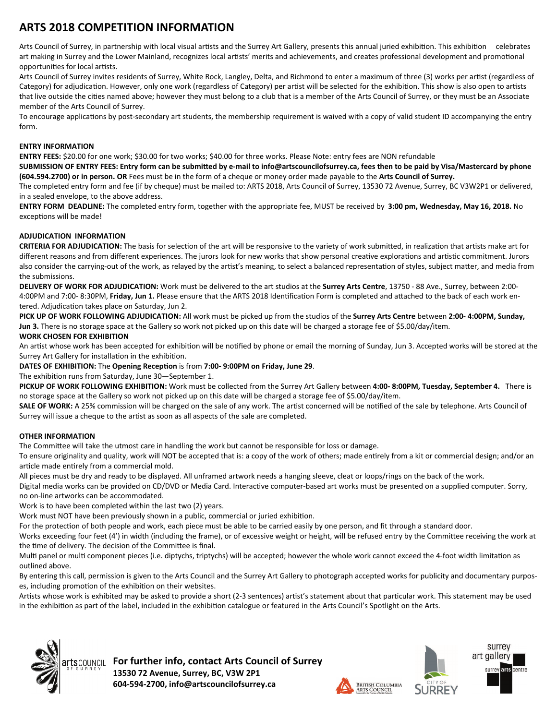## **ARTS 2018 COMPETITION INFORMATION**

Arts Council of Surrey, in partnership with local visual artists and the Surrey Art Gallery, presents this annual juried exhibition. This exhibition celebrates art making in Surrey and the Lower Mainland, recognizes local artists' merits and achievements, and creates professional development and promotional opportunities for local artists.

Arts Council of Surrey invites residents of Surrey, White Rock, Langley, Delta, and Richmond to enter a maximum of three (3) works per artist (regardless of Category) for adjudication. However, only one work (regardless of Category) per artist will be selected for the exhibition. This show is also open to artists that live outside the cities named above; however they must belong to a club that is a member of the Arts Council of Surrey, or they must be an Associate member of the Arts Council of Surrey.

To encourage applications by post-secondary art students, the membership requirement is waived with a copy of valid student ID accompanying the entry form.

#### **ENTRY INFORMATION**

**ENTRY FEES:** \$20.00 for one work; \$30.00 for two works; \$40.00 for three works. Please Note: entry fees are NON refundable

SUBMISSION OF ENTRY FEES: Entry form can be submitted by e-mail to info@artscouncilofsurrey.ca, fees then to be paid by Visa/Mastercard by phone **(604.594.2700) or in person. OR** Fees must be in the form of a cheque or money order made payable to the **Arts Council of Surrey.**

The completed entry form and fee (if by cheque) must be mailed to: ARTS 2018, Arts Council of Surrey, 13530 72 Avenue, Surrey, BC V3W2P1 or delivered, in a sealed envelope, to the above address.

**ENTRY FORM DEADLINE:** The completed entry form, together with the appropriate fee, MUST be received by **3:00 pm, Wednesday, May 16, 2018.** No exceptions will be made!

### **ADJUDICATION INFORMATION**

**CRITERIA FOR ADJUDICATION:** The basis for selection of the art will be responsive to the variety of work submitted, in realization that artists make art for different reasons and from different experiences. The jurors look for new works that show personal creative explorations and artistic commitment. Jurors also consider the carrying-out of the work, as relayed by the artist's meaning, to select a balanced representation of styles, subject matter, and media from the submissions.

**DELIVERY OF WORK FOR ADJUDICATION:** Work must be delivered to the art studios at the **Surrey Arts Centre**, 13750 ‐ 88 Ave., Surrey, between 2:00‐ 4:00PM and 7:00-8:30PM, Friday, Jun 1. Please ensure that the ARTS 2018 Identification Form is completed and attached to the back of each work entered. Adjudication takes place on Saturday, Jun 2.

PICK UP OF WORK FOLLOWING ADJUDICATION: All work must be picked up from the studios of the Surrey Arts Centre between 2:00-4:00PM, Sunday, **Jun 3.** There is no storage space at the Gallery so work not picked up on this date will be charged a storage fee of \$5.00/day/item.

### **WORK CHOSEN FOR EXHIBITION**

An artist whose work has been accepted for exhibition will be notified by phone or email the morning of Sunday, Jun 3. Accepted works will be stored at the Surrey Art Gallery for installation in the exhibition.

### **DATES OF EXHIBITION:** The **Opening RecepƟon** is from **7:00‐ 9:00PM on Friday, June 29**.

The exhibition runs from Saturday, June 30-September 1.

PICKUP OF WORK FOLLOWING EXHIBITION: Work must be collected from the Surrey Art Gallery between 4:00-8:00PM, Tuesday, September 4. There is no storage space at the Gallery so work not picked up on this date will be charged a storage fee of \$5.00/day/item.

SALE OF WORK: A 25% commission will be charged on the sale of any work. The artist concerned will be notified of the sale by telephone. Arts Council of Surrey will issue a cheque to the artist as soon as all aspects of the sale are completed.

### **OTHER INFORMATION**

The Committee will take the utmost care in handling the work but cannot be responsible for loss or damage.

To ensure originality and quality, work will NOT be accepted that is: a copy of the work of others; made entirely from a kit or commercial design; and/or an article made entirely from a commercial mold.

All pieces must be dry and ready to be displayed. All unframed artwork needs a hanging sleeve, cleat or loops/rings on the back of the work.

Digital media works can be provided on CD/DVD or Media Card. Interactive computer-based art works must be presented on a supplied computer. Sorry, no on‐line artworks can be accommodated.

Work is to have been completed within the last two (2) years.

Work must NOT have been previously shown in a public, commercial or juried exhibition.

For the protection of both people and work, each piece must be able to be carried easily by one person, and fit through a standard door.

Works exceeding four feet (4') in width (including the frame), or of excessive weight or height, will be refused entry by the Committee receiving the work at the time of delivery. The decision of the Committee is final.

Multi panel or multi component pieces (i.e. diptychs, triptychs) will be accepted; however the whole work cannot exceed the 4-foot width limitation as outlined above.

By entering this call, permission is given to the Arts Council and the Surrey Art Gallery to photograph accepted works for publicity and documentary purposes, including promotion of the exhibition on their websites.

Artists whose work is exhibited may be asked to provide a short (2-3 sentences) artist's statement about that particular work. This statement may be used in the exhibition as part of the label, included in the exhibition catalogue or featured in the Arts Council's Spotlight on the Arts.



**For further info, contact Arts Council of Surrey 13530 72 Avenue, Surrey, BC, V3W 2P1 604‐594‐2700, info@artscouncilofsurrey.ca**